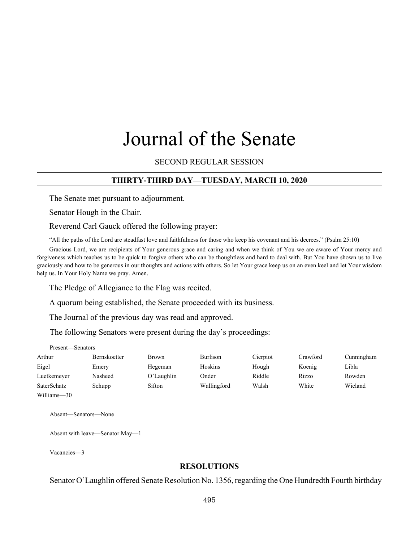# Journal of the Senate

SECOND REGULAR SESSION

# **THIRTY-THIRD DAY—TUESDAY, MARCH 10, 2020**

The Senate met pursuant to adjournment.

Senator Hough in the Chair.

Reverend Carl Gauck offered the following prayer:

"All the paths of the Lord are steadfast love and faithfulness for those who keep his covenant and his decrees." (Psalm 25:10)

Gracious Lord, we are recipients of Your generous grace and caring and when we think of You we are aware of Your mercy and forgiveness which teaches us to be quick to forgive others who can be thoughtless and hard to deal with. But You have shown us to live graciously and how to be generous in our thoughts and actions with others. So let Your grace keep us on an even keel and let Your wisdom help us. In Your Holy Name we pray. Amen.

The Pledge of Allegiance to the Flag was recited.

A quorum being established, the Senate proceeded with its business.

The Journal of the previous day was read and approved.

The following Senators were present during the day's proceedings:

Present—Senators

| Arthur      | Bernskoetter | Brown         | <b>Burlison</b> | Cierpiot | Crawford | Cunningham |
|-------------|--------------|---------------|-----------------|----------|----------|------------|
| Eigel       | Emery        | Hegeman       | Hoskins         | Hough    | Koenig   | Libla      |
| Luetkemeyer | Nasheed      | $O'$ Laughlin | Onder           | Riddle   | Rizzo    | Rowden     |
| SaterSchatz | Schupp       | Sifton        | Wallingford     | Walsh    | White    | Wieland    |
| Williams—30 |              |               |                 |          |          |            |

Absent—Senators—None

Absent with leave—Senator May—1

Vacancies—3

## **RESOLUTIONS**

Senator O'Laughlin offered Senate Resolution No. 1356, regarding the One Hundredth Fourth birthday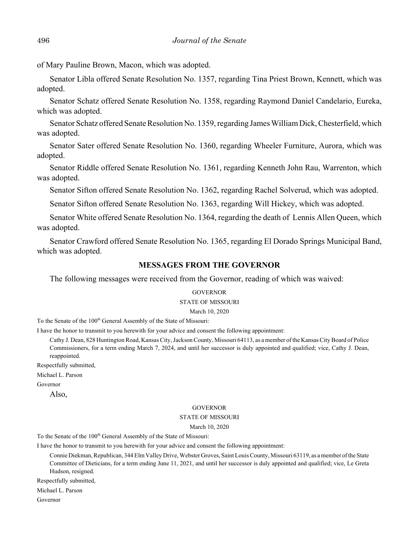of Mary Pauline Brown, Macon, which was adopted.

Senator Libla offered Senate Resolution No. 1357, regarding Tina Priest Brown, Kennett, which was adopted.

Senator Schatz offered Senate Resolution No. 1358, regarding Raymond Daniel Candelario, Eureka, which was adopted.

Senator Schatz offered Senate Resolution No. 1359, regarding James William Dick, Chesterfield, which was adopted.

Senator Sater offered Senate Resolution No. 1360, regarding Wheeler Furniture, Aurora, which was adopted.

Senator Riddle offered Senate Resolution No. 1361, regarding Kenneth John Rau, Warrenton, which was adopted.

Senator Sifton offered Senate Resolution No. 1362, regarding Rachel Solverud, which was adopted.

Senator Sifton offered Senate Resolution No. 1363, regarding Will Hickey, which was adopted.

Senator White offered Senate Resolution No. 1364, regarding the death of Lennis Allen Queen, which was adopted.

Senator Crawford offered Senate Resolution No. 1365, regarding El Dorado Springs Municipal Band, which was adopted.

## **MESSAGES FROM THE GOVERNOR**

The following messages were received from the Governor, reading of which was waived:

#### **GOVERNOR**

#### STATE OF MISSOURI

#### March 10, 2020

To the Senate of the 100<sup>th</sup> General Assembly of the State of Missouri:

I have the honor to transmit to you herewith for your advice and consent the following appointment:

Cathy J. Dean, 828 Huntington Road, Kansas City, Jackson County, Missouri 64113, as a member of the Kansas City Board of Police Commissioners, for a term ending March 7, 2024, and until her successor is duly appointed and qualified; vice, Cathy J. Dean, reappointed.

Respectfully submitted,

Michael L. Parson

Governor

Also,

#### **GOVERNOR**

#### STATE OF MISSOURI

March 10, 2020

To the Senate of the 100<sup>th</sup> General Assembly of the State of Missouri:

I have the honor to transmit to you herewith for your advice and consent the following appointment:

Connie Diekman, Republican, 344 Elm Valley Drive, Webster Groves, Saint Louis County, Missouri 63119, as a member of the State Committee of Dieticians, for a term ending June 11, 2021, and until her successor is duly appointed and qualified; vice, Le Greta Hudson, resigned.

Respectfully submitted,

Michael L. Parson

Governor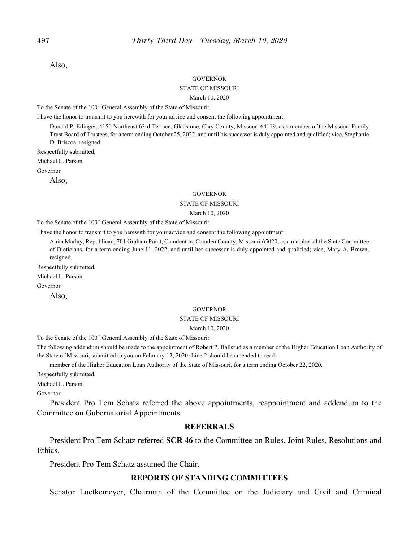Also,

#### **GOVERNOR**

#### STATE OF MISSOURI

#### March 10, 2020

To the Senate of the 100<sup>th</sup> General Assembly of the State of Missouri:

I have the honor to transmit to you herewith for your advice and consent the following appointment:

Donald P. Edinger, 4150 Northeast 63rd Terrace, Gladstone, Clay County, Missouri 64119, as a member of the Missouri Family Trust Board of Trustees, for a term ending October 25, 2022, and until his successor is duly appointed and qualified; vice, Stephanie D. Briscoe, resigned.

Respectfully submitted,

Michael L. Parson

Governor

Also,

#### GOVERNOR

#### STATE OF MISSOURI

March 10, 2020

To the Senate of the 100<sup>th</sup> General Assembly of the State of Missouri:

I have the honor to transmit to you herewith for your advice and consent the following appointment:

Anita Marlay, Republican, 701 Graham Point, Camdenton, Camden County, Missouri 65020, as a member of the State Committee of Dieticians, for a term ending June 11, 2022, and until her successor is duly appointed and qualified; vice, Mary A. Brown, resigned.

Respectfully submitted,

Michael L. Parson

Governor

Also,

#### **GOVERNOR**

#### STATE OF MISSOURI

#### March 10, 2020

To the Senate of the 100<sup>th</sup> General Assembly of the State of Missouri:

The following addendum should be made to the appointment of Robert P. Ballsrud as a member of the Higher Education Loan Authority of the State of Missouri, submitted to you on February 12, 2020. Line 2 should be amended to read:

member of the Higher Education Loan Authority of the State of Missouri, for a term ending October 22, 2020,

Respectfully submitted,

Michael L. Parson

Governor

President Pro Tem Schatz referred the above appointments, reappointment and addendum to the Committee on Gubernatorial Appointments.

#### **REFERRALS**

President Pro Tem Schatz referred **SCR 46** to the Committee on Rules, Joint Rules, Resolutions and Ethics.

President Pro Tem Schatz assumed the Chair.

## **REPORTS OF STANDING COMMITTEES**

Senator Luetkemeyer, Chairman of the Committee on the Judiciary and Civil and Criminal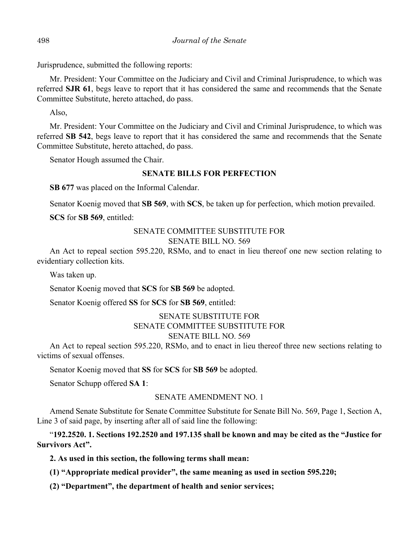Jurisprudence, submitted the following reports:

Mr. President: Your Committee on the Judiciary and Civil and Criminal Jurisprudence, to which was referred **SJR 61**, begs leave to report that it has considered the same and recommends that the Senate Committee Substitute, hereto attached, do pass.

Also,

Mr. President: Your Committee on the Judiciary and Civil and Criminal Jurisprudence, to which was referred **SB 542**, begs leave to report that it has considered the same and recommends that the Senate Committee Substitute, hereto attached, do pass.

Senator Hough assumed the Chair.

# **SENATE BILLS FOR PERFECTION**

**SB 677** was placed on the Informal Calendar.

Senator Koenig moved that **SB 569**, with **SCS**, be taken up for perfection, which motion prevailed.

**SCS** for **SB 569**, entitled:

## SENATE COMMITTEE SUBSTITUTE FOR SENATE BILL NO. 569

An Act to repeal section 595.220, RSMo, and to enact in lieu thereof one new section relating to evidentiary collection kits.

Was taken up.

Senator Koenig moved that **SCS** for **SB 569** be adopted.

Senator Koenig offered **SS** for **SCS** for **SB 569**, entitled:

# SENATE SUBSTITUTE FOR SENATE COMMITTEE SUBSTITUTE FOR SENATE BILL NO. 569

An Act to repeal section 595.220, RSMo, and to enact in lieu thereof three new sections relating to victims of sexual offenses.

Senator Koenig moved that **SS** for **SCS** for **SB 569** be adopted.

Senator Schupp offered **SA 1**:

### SENATE AMENDMENT NO. 1

Amend Senate Substitute for Senate Committee Substitute for Senate Bill No. 569, Page 1, Section A, Line 3 of said page, by inserting after all of said line the following:

"**192.2520. 1. Sections 192.2520 and 197.135 shall be known and may be cited as the "Justice for Survivors Act".**

**2. As used in this section, the following terms shall mean:**

**(1) "Appropriate medical provider", the same meaning as used in section 595.220;**

**(2) "Department", the department of health and senior services;**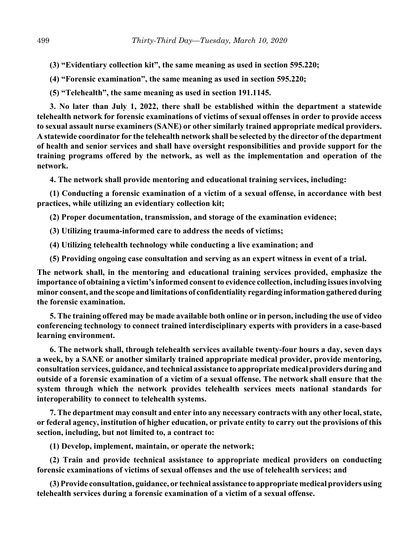**(3) "Evidentiary collection kit", the same meaning as used in section 595.220;**

**(4) "Forensic examination", the same meaning as used in section 595.220;**

**(5) "Telehealth", the same meaning as used in section 191.1145.**

**3. No later than July 1, 2022, there shall be established within the department a statewide telehealth network for forensic examinations of victims of sexual offenses in order to provide access to sexual assault nurse examiners (SANE) or other similarly trained appropriate medical providers. A statewide coordinator for the telehealth network shall be selected by the director of the department of health and senior services and shall have oversight responsibilities and provide support for the training programs offered by the network, as well as the implementation and operation of the network.**

**4. The network shall provide mentoring and educational training services, including:**

**(1) Conducting a forensic examination of a victim of a sexual offense, in accordance with best practices, while utilizing an evidentiary collection kit;**

**(2) Proper documentation, transmission, and storage of the examination evidence;**

**(3) Utilizing trauma-informed care to address the needs of victims;**

**(4) Utilizing telehealth technology while conducting a live examination; and**

**(5) Providing ongoing case consultation and serving as an expert witness in event of a trial.**

**The network shall, in the mentoring and educational training services provided, emphasize the importance of obtaining a victim's informed consent to evidence collection, including issues involving minor consent, and the scope and limitations of confidentiality regarding information gathered during the forensic examination.**

**5. The training offered may be made available both online or in person, including the use of video conferencing technology to connect trained interdisciplinary experts with providers in a case-based learning environment.**

**6. The network shall, through telehealth services available twenty-four hours a day, seven days a week, by a SANE or another similarly trained appropriate medical provider, provide mentoring, consultation services, guidance, and technical assistance to appropriate medical providers during and outside of a forensic examination of a victim of a sexual offense. The network shall ensure that the system through which the network provides telehealth services meets national standards for interoperability to connect to telehealth systems.**

**7. The department may consult and enter into any necessary contracts with any other local, state, or federal agency, institution of higher education, or private entity to carry out the provisions of this section, including, but not limited to, a contract to:**

**(1) Develop, implement, maintain, or operate the network;**

**(2) Train and provide technical assistance to appropriate medical providers on conducting forensic examinations of victims of sexual offenses and the use of telehealth services; and**

**(3) Provide consultation, guidance, or technical assistance to appropriate medical providers using telehealth services during a forensic examination of a victim of a sexual offense.**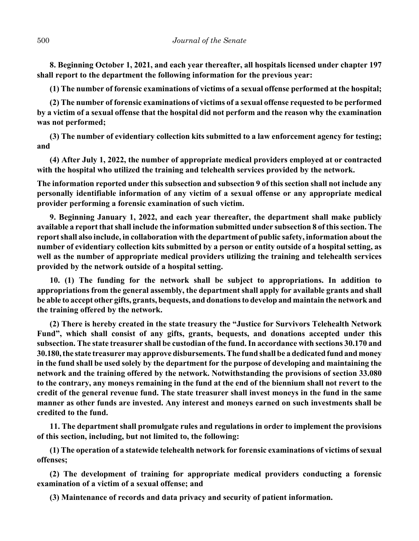**8. Beginning October 1, 2021, and each year thereafter, all hospitals licensed under chapter 197 shall report to the department the following information for the previous year:**

**(1) The number of forensic examinations of victims of a sexual offense performed at the hospital;**

**(2) The number of forensic examinations of victims of a sexual offense requested to be performed by a victim of a sexual offense that the hospital did not perform and the reason why the examination was not performed;**

**(3) The number of evidentiary collection kits submitted to a law enforcement agency for testing; and**

**(4) After July 1, 2022, the number of appropriate medical providers employed at or contracted with the hospital who utilized the training and telehealth services provided by the network.**

**The information reported under this subsection and subsection 9 of this section shall not include any personally identifiable information of any victim of a sexual offense or any appropriate medical provider performing a forensic examination of such victim.**

**9. Beginning January 1, 2022, and each year thereafter, the department shall make publicly available a report that shall include the information submitted under subsection 8 of this section. The report shall also include, in collaboration with the department of public safety, information about the number of evidentiary collection kits submitted by a person or entity outside of a hospital setting, as well as the number of appropriate medical providers utilizing the training and telehealth services provided by the network outside of a hospital setting.**

**10. (1) The funding for the network shall be subject to appropriations. In addition to appropriations from the general assembly, the department shall apply for available grants and shall be able to accept other gifts, grants, bequests, and donations to develop and maintain the network and the training offered by the network.**

**(2) There is hereby created in the state treasury the "Justice for Survivors Telehealth Network Fund", which shall consist of any gifts, grants, bequests, and donations accepted under this subsection. The state treasurer shall be custodian of the fund. In accordance with sections 30.170 and 30.180, the state treasurer may approve disbursements. The fund shall be a dedicated fund and money in the fund shall be used solely by the department for the purpose of developing and maintaining the network and the training offered by the network. Notwithstanding the provisions of section 33.080 to the contrary, any moneys remaining in the fund at the end of the biennium shall not revert to the credit of the general revenue fund. The state treasurer shall invest moneys in the fund in the same manner as other funds are invested. Any interest and moneys earned on such investments shall be credited to the fund.**

**11. The department shall promulgate rules and regulations in order to implement the provisions of this section, including, but not limited to, the following:**

**(1) The operation of a statewide telehealth network for forensic examinations of victims of sexual offenses;**

**(2) The development of training for appropriate medical providers conducting a forensic examination of a victim of a sexual offense; and**

**(3) Maintenance of records and data privacy and security of patient information.**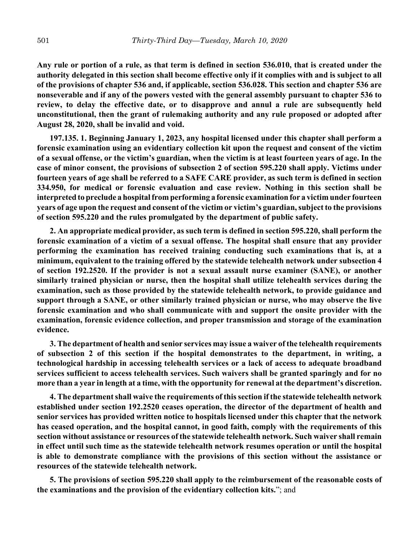**Any rule or portion of a rule, as that term is defined in section 536.010, that is created under the authority delegated in this section shall become effective only if it complies with and is subject to all of the provisions of chapter 536 and, if applicable, section 536.028. This section and chapter 536 are nonseverable and if any of the powers vested with the general assembly pursuant to chapter 536 to review, to delay the effective date, or to disapprove and annul a rule are subsequently held unconstitutional, then the grant of rulemaking authority and any rule proposed or adopted after August 28, 2020, shall be invalid and void.**

**197.135. 1. Beginning January 1, 2023, any hospital licensed under this chapter shall perform a forensic examination using an evidentiary collection kit upon the request and consent of the victim of a sexual offense, or the victim's guardian, when the victim is at least fourteen years of age. In the case of minor consent, the provisions of subsection 2 of section 595.220 shall apply. Victims under fourteen years of age shall be referred to a SAFE CARE provider, as such term is defined in section 334.950, for medical or forensic evaluation and case review. Nothing in this section shall be interpreted to preclude a hospital from performing a forensic examination for a victim under fourteen years of age upon the request and consent of the victim or victim's guardian, subject to the provisions of section 595.220 and the rules promulgated by the department of public safety.**

**2. An appropriate medical provider, as such term is defined in section 595.220, shall perform the forensic examination of a victim of a sexual offense. The hospital shall ensure that any provider performing the examination has received training conducting such examinations that is, at a minimum, equivalent to the training offered by the statewide telehealth network under subsection 4 of section 192.2520. If the provider is not a sexual assault nurse examiner (SANE), or another similarly trained physician or nurse, then the hospital shall utilize telehealth services during the examination, such as those provided by the statewide telehealth network, to provide guidance and support through a SANE, or other similarly trained physician or nurse, who may observe the live forensic examination and who shall communicate with and support the onsite provider with the examination, forensic evidence collection, and proper transmission and storage of the examination evidence.**

**3. The department of health and senior services may issue a waiver of the telehealth requirements of subsection 2 of this section if the hospital demonstrates to the department, in writing, a technological hardship in accessing telehealth services or a lack of access to adequate broadband services sufficient to access telehealth services. Such waivers shall be granted sparingly and for no more than a year in length at a time, with the opportunity for renewal at the department's discretion.**

**4. The department shall waive the requirements of this section if the statewide telehealth network established under section 192.2520 ceases operation, the director of the department of health and senior services has provided written notice to hospitals licensed under this chapter that the network has ceased operation, and the hospital cannot, in good faith, comply with the requirements of this section without assistance or resources of the statewide telehealth network. Such waiver shall remain in effect until such time as the statewide telehealth network resumes operation or until the hospital is able to demonstrate compliance with the provisions of this section without the assistance or resources of the statewide telehealth network.**

**5. The provisions of section 595.220 shall apply to the reimbursement of the reasonable costs of the examinations and the provision of the evidentiary collection kits.**"; and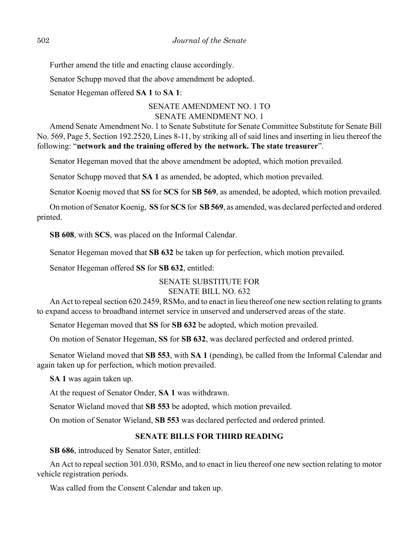Further amend the title and enacting clause accordingly.

Senator Schupp moved that the above amendment be adopted.

Senator Hegeman offered **SA 1** to **SA 1**:

# SENATE AMENDMENT NO. 1 TO SENATE AMENDMENT NO. 1

Amend Senate Amendment No. 1 to Senate Substitute for Senate Committee Substitute for Senate Bill No. 569, Page 5, Section 192.2520, Lines 8-11, by striking all of said lines and inserting in lieu thereof the following: "**network and the training offered by the network. The state treasurer**".

Senator Hegeman moved that the above amendment be adopted, which motion prevailed.

Senator Schupp moved that **SA 1** as amended, be adopted, which motion prevailed.

Senator Koenig moved that **SS** for **SCS** for **SB 569**, as amended, be adopted, which motion prevailed.

On motion of Senator Koenig, **SS** for **SCS** for **SB 569**, as amended, was declared perfected and ordered printed.

**SB 608**, with **SCS**, was placed on the Informal Calendar.

Senator Hegeman moved that **SB 632** be taken up for perfection, which motion prevailed.

Senator Hegeman offered **SS** for **SB 632**, entitled:

# SENATE SUBSTITUTE FOR

# SENATE BILL NO. 632

An Act to repeal section 620.2459, RSMo, and to enact in lieu thereof one new section relating to grants to expand access to broadband internet service in unserved and underserved areas of the state.

Senator Hegeman moved that **SS** for **SB 632** be adopted, which motion prevailed.

On motion of Senator Hegeman, **SS** for **SB 632**, was declared perfected and ordered printed.

Senator Wieland moved that **SB 553**, with **SA 1** (pending), be called from the Informal Calendar and again taken up for perfection, which motion prevailed.

**SA 1** was again taken up.

At the request of Senator Onder, **SA 1** was withdrawn.

Senator Wieland moved that **SB 553** be adopted, which motion prevailed.

On motion of Senator Wieland, **SB 553** was declared perfected and ordered printed.

# **SENATE BILLS FOR THIRD READING**

**SB 686**, introduced by Senator Sater, entitled:

An Act to repeal section 301.030, RSMo, and to enact in lieu thereof one new section relating to motor vehicle registration periods.

Was called from the Consent Calendar and taken up.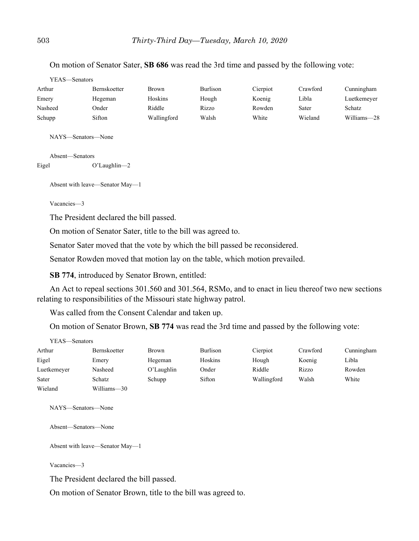On motion of Senator Sater, **SB 686** was read the 3rd time and passed by the following vote:

| YEAS—Senators |                     |             |                 |          |          |             |
|---------------|---------------------|-------------|-----------------|----------|----------|-------------|
| Arthur        | <b>Bernskoetter</b> | Brown       | <b>Burlison</b> | Cierpiot | Crawford | Cunningham  |
| Emery         | Hegeman             | Hoskins     | Hough           | Koenig   | Libla    | Luetkemeyer |
| Nasheed       | Onder               | Riddle      | Rizzo           | Rowden   | Sater    | Schatz      |
| Schupp        | Sifton              | Wallingford | Walsh           | White    | Wieland  | Williams-28 |
|               |                     |             |                 |          |          |             |
|               | NAYS—Senators—None  |             |                 |          |          |             |

Absent—Senators

Eigel O'Laughlin—2

Absent with leave—Senator May—1

Vacancies—3

The President declared the bill passed.

On motion of Senator Sater, title to the bill was agreed to.

Senator Sater moved that the vote by which the bill passed be reconsidered.

Senator Rowden moved that motion lay on the table, which motion prevailed.

**SB 774**, introduced by Senator Brown, entitled:

An Act to repeal sections 301.560 and 301.564, RSMo, and to enact in lieu thereof two new sections relating to responsibilities of the Missouri state highway patrol.

Was called from the Consent Calendar and taken up.

On motion of Senator Brown, **SB 774** was read the 3rd time and passed by the following vote:

| YEAS—Senators |              |               |                 |             |          |            |
|---------------|--------------|---------------|-----------------|-------------|----------|------------|
| Arthur        | Bernskoetter | Brown         | <b>Burlison</b> | Cierpiot    | Crawford | Cunningham |
| Eigel         | Emery        | Hegeman       | Hoskins         | Hough       | Koenig   | Libla      |
| Luetkemeyer   | Nasheed      | $O'$ Laughlin | Onder           | Riddle      | Rizzo    | Rowden     |
| Sater         | Schatz       | Schupp        | Sifton          | Wallingford | Walsh    | White      |
| Wieland       | Williams-30  |               |                 |             |          |            |

NAYS—Senators—None

Absent—Senators—None

Absent with leave—Senator May—1

Vacancies—3

The President declared the bill passed.

On motion of Senator Brown, title to the bill was agreed to.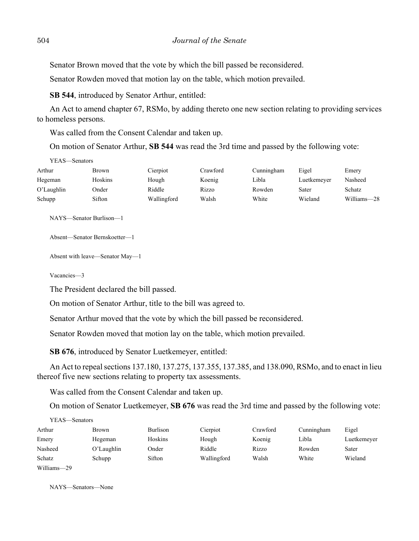Senator Brown moved that the vote by which the bill passed be reconsidered.

Senator Rowden moved that motion lay on the table, which motion prevailed.

**SB 544**, introduced by Senator Arthur, entitled:

An Act to amend chapter 67, RSMo, by adding thereto one new section relating to providing services to homeless persons.

Was called from the Consent Calendar and taken up.

On motion of Senator Arthur, **SB 544** was read the 3rd time and passed by the following vote:

| YEAS—Senators |         |             |          |            |             |             |
|---------------|---------|-------------|----------|------------|-------------|-------------|
| Arthur        | Brown   | Cierpiot    | Crawford | Cunningham | Eigel       | Emery       |
| Hegeman       | Hoskins | Hough       | Koenig   | Libla      | Luetkemeyer | Nasheed     |
| $O'$ Laughlin | Onder   | Riddle      | Rizzo    | Rowden     | Sater       | Schatz      |
| Schupp        | Sifton  | Wallingford | Walsh    | White      | Wieland     | Williams-28 |

NAYS—Senator Burlison—1

```
Absent—Senator Bernskoetter—1
```
Absent with leave—Senator May—1

Vacancies—3

 $\overline{y}$ 

The President declared the bill passed.

On motion of Senator Arthur, title to the bill was agreed to.

Senator Arthur moved that the vote by which the bill passed be reconsidered.

Senator Rowden moved that motion lay on the table, which motion prevailed.

**SB 676**, introduced by Senator Luetkemeyer, entitled:

An Act to repeal sections 137.180, 137.275, 137.355, 137.385, and 138.090, RSMo, and to enact in lieu thereof five new sections relating to property tax assessments.

Was called from the Consent Calendar and taken up.

On motion of Senator Luetkemeyer, **SB 676** was read the 3rd time and passed by the following vote:

| Y EAS—Senators |            |          |             |          |            |             |
|----------------|------------|----------|-------------|----------|------------|-------------|
| Arthur         | Brown      | Burlison | Cierpiot    | Crawford | Cunningham | Eigel       |
| Emery          | Hegeman    | Hoskins  | Hough       | Koenig   | Libla      | Luetkemeyer |
| Nasheed        | O'Laughlin | Onder    | Riddle      | Rizzo    | Rowden     | Sater       |
| Schatz         | Schupp     | Sifton   | Wallingford | Walsh    | White      | Wieland     |
| Williams-29    |            |          |             |          |            |             |

NAYS—Senators—None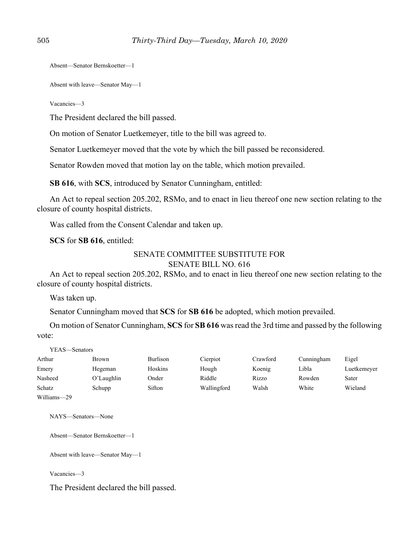Absent—Senator Bernskoetter—1

Absent with leave—Senator May—1

Vacancies—3

The President declared the bill passed.

On motion of Senator Luetkemeyer, title to the bill was agreed to.

Senator Luetkemeyer moved that the vote by which the bill passed be reconsidered.

Senator Rowden moved that motion lay on the table, which motion prevailed.

**SB 616**, with **SCS**, introduced by Senator Cunningham, entitled:

An Act to repeal section 205.202, RSMo, and to enact in lieu thereof one new section relating to the closure of county hospital districts.

Was called from the Consent Calendar and taken up.

**SCS** for **SB 616**, entitled:

#### SENATE COMMITTEE SUBSTITUTE FOR SENATE BILL NO. 616

An Act to repeal section 205.202, RSMo, and to enact in lieu thereof one new section relating to the closure of county hospital districts.

Was taken up.

Senator Cunningham moved that **SCS** for **SB 616** be adopted, which motion prevailed.

On motion of Senator Cunningham, **SCS** for **SB 616** was read the 3rd time and passed by the following vote:

| YEAS—Senators |               |          |             |          |            |             |
|---------------|---------------|----------|-------------|----------|------------|-------------|
| Arthur        | Brown         | Burlison | Cierpiot    | Crawford | Cunningham | Eigel       |
| Emery         | Hegeman       | Hoskins  | Hough       | Koenig   | Libla      | Luetkemeyer |
| Nasheed       | $O'$ Laughlin | Onder    | Riddle      | Rizzo    | Rowden     | Sater       |
| Schatz        | Schupp        | Sifton   | Wallingford | Walsh    | White      | Wieland     |
| Williams-29   |               |          |             |          |            |             |

NAYS—Senators—None

Absent—Senator Bernskoetter—1

Absent with leave—Senator May—1

Vacancies—3

The President declared the bill passed.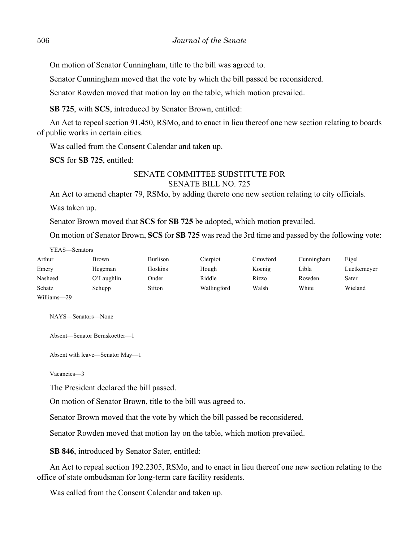On motion of Senator Cunningham, title to the bill was agreed to.

Senator Cunningham moved that the vote by which the bill passed be reconsidered.

Senator Rowden moved that motion lay on the table, which motion prevailed.

**SB 725**, with **SCS**, introduced by Senator Brown, entitled:

An Act to repeal section 91.450, RSMo, and to enact in lieu thereof one new section relating to boards of public works in certain cities.

Was called from the Consent Calendar and taken up.

**SCS** for **SB 725**, entitled:

# SENATE COMMITTEE SUBSTITUTE FOR SENATE BILL NO. 725

An Act to amend chapter 79, RSMo, by adding thereto one new section relating to city officials.

Was taken up.

 $YFAS = S$ 

Senator Brown moved that **SCS** for **SB 725** be adopted, which motion prevailed.

On motion of Senator Brown, **SCS** for **SB 725** was read the 3rd time and passed by the following vote:

| r e AS—Senators |            |          |             |          |            |             |
|-----------------|------------|----------|-------------|----------|------------|-------------|
| Arthur          | Brown      | Burlison | Cierpiot    | Crawford | Cunningham | Eigel       |
| Emery           | Hegeman    | Hoskins  | Hough       | Koenig   | Libla      | Luetkemeyer |
| Nasheed         | O'Laughlin | Onder    | Riddle      | Rizzo    | Rowden     | Sater       |
| Schatz          | Schupp     | Sifton   | Wallingford | Walsh    | White      | Wieland     |
| Williams-29     |            |          |             |          |            |             |

NAYS—Senators—None

Absent—Senator Bernskoetter—1

Absent with leave—Senator May—1

Vacancies—3

The President declared the bill passed.

On motion of Senator Brown, title to the bill was agreed to.

Senator Brown moved that the vote by which the bill passed be reconsidered.

Senator Rowden moved that motion lay on the table, which motion prevailed.

**SB 846**, introduced by Senator Sater, entitled:

An Act to repeal section 192.2305, RSMo, and to enact in lieu thereof one new section relating to the office of state ombudsman for long-term care facility residents.

Was called from the Consent Calendar and taken up.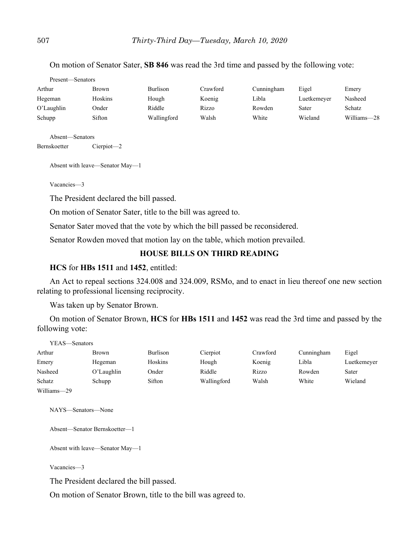| Present—Senators |         |             |          |            |             |             |
|------------------|---------|-------------|----------|------------|-------------|-------------|
| Arthur           | Brown   | Burlison    | Crawford | Cunningham | Eigel       | Emery       |
| Hegeman          | Hoskins | Hough       | Koenig   | Libla      | Luetkemeyer | Nasheed     |
| $O'$ Laughlin    | Onder   | Riddle      | Rizzo    | Rowden     | Sater       | Schatz      |
| Schupp           | Sifton  | Wallingford | Walsh    | White      | Wieland     | Williams-28 |

On motion of Senator Sater, **SB 846** was read the 3rd time and passed by the following vote:

Absent—Senators

Bernskoetter Cierpiot—2

Absent with leave—Senator May—1

Vacancies—3

The President declared the bill passed.

On motion of Senator Sater, title to the bill was agreed to.

Senator Sater moved that the vote by which the bill passed be reconsidered.

Senator Rowden moved that motion lay on the table, which motion prevailed.

# **HOUSE BILLS ON THIRD READING**

## **HCS** for **HBs 1511** and **1452**, entitled:

An Act to repeal sections 324.008 and 324.009, RSMo, and to enact in lieu thereof one new section relating to professional licensing reciprocity.

Was taken up by Senator Brown.

On motion of Senator Brown, **HCS** for **HBs 1511** and **1452** was read the 3rd time and passed by the following vote:

| YEAS—Senators |            |          |             |          |            |             |
|---------------|------------|----------|-------------|----------|------------|-------------|
| Arthur        | Brown      | Burlison | Cierpiot    | Crawford | Cunningham | Eigel       |
| Emery         | Hegeman    | Hoskins  | Hough       | Koenig   | Libla      | Luetkemeyer |
| Nasheed       | O'Laughlin | Onder    | Riddle      | Rizzo    | Rowden     | Sater       |
| Schatz        | Schupp     | Sifton   | Wallingford | Walsh    | White      | Wieland     |
| Williams-29   |            |          |             |          |            |             |

NAYS—Senators—None

Absent—Senator Bernskoetter—1

Absent with leave—Senator May—1

Vacancies—3

The President declared the bill passed.

On motion of Senator Brown, title to the bill was agreed to.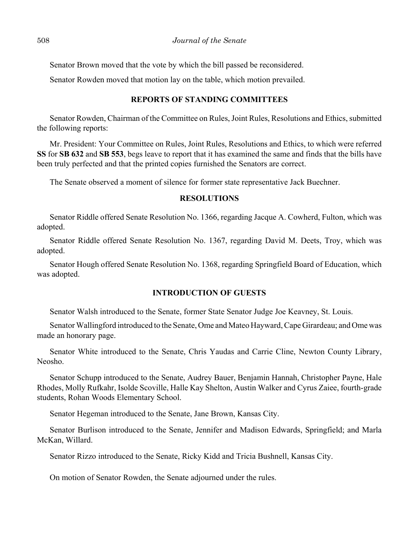Senator Brown moved that the vote by which the bill passed be reconsidered.

Senator Rowden moved that motion lay on the table, which motion prevailed.

## **REPORTS OF STANDING COMMITTEES**

Senator Rowden, Chairman of the Committee on Rules, Joint Rules, Resolutions and Ethics, submitted the following reports:

Mr. President: Your Committee on Rules, Joint Rules, Resolutions and Ethics, to which were referred **SS** for **SB 632** and **SB 553**, begs leave to report that it has examined the same and finds that the bills have been truly perfected and that the printed copies furnished the Senators are correct.

The Senate observed a moment of silence for former state representative Jack Buechner.

### **RESOLUTIONS**

Senator Riddle offered Senate Resolution No. 1366, regarding Jacque A. Cowherd, Fulton, which was adopted.

Senator Riddle offered Senate Resolution No. 1367, regarding David M. Deets, Troy, which was adopted.

Senator Hough offered Senate Resolution No. 1368, regarding Springfield Board of Education, which was adopted.

# **INTRODUCTION OF GUESTS**

Senator Walsh introduced to the Senate, former State Senator Judge Joe Keavney, St. Louis.

Senator Wallingford introduced to the Senate, Ome and Mateo Hayward, Cape Girardeau; and Ome was made an honorary page.

Senator White introduced to the Senate, Chris Yaudas and Carrie Cline, Newton County Library, Neosho.

Senator Schupp introduced to the Senate, Audrey Bauer, Benjamin Hannah, Christopher Payne, Hale Rhodes, Molly Rufkahr, Isolde Scoville, Halle Kay Shelton, Austin Walker and Cyrus Zaiee, fourth-grade students, Rohan Woods Elementary School.

Senator Hegeman introduced to the Senate, Jane Brown, Kansas City.

Senator Burlison introduced to the Senate, Jennifer and Madison Edwards, Springfield; and Marla McKan, Willard.

Senator Rizzo introduced to the Senate, Ricky Kidd and Tricia Bushnell, Kansas City.

On motion of Senator Rowden, the Senate adjourned under the rules.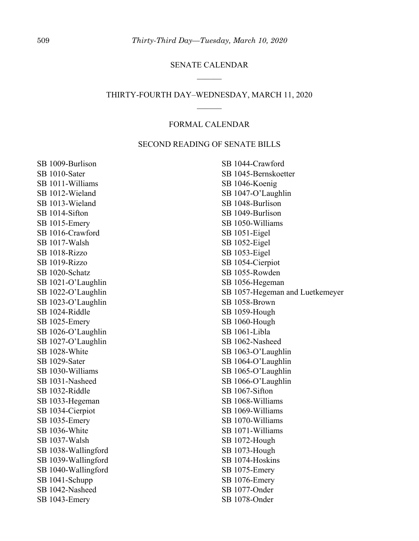## SENATE CALENDAR

# THIRTY-FOURTH DAY–WEDNESDAY, MARCH 11, 2020  $\mathcal{L}$

# FORMAL CALENDAR

# SECOND READING OF SENATE BILLS

SB 1009-Burlison SB 1010-Sater SB 1011-Williams SB 1012-Wieland SB 1013-Wieland SB 1014-Sifton SB 1015-Emery SB 1016-Crawford SB 1017-Walsh SB 1018-Rizzo SB 1019-Rizzo SB 1020-Schatz SB 1021-O'Laughlin SB 1022-O'Laughlin SB 1023-O'Laughlin SB 1024-Riddle SB 1025-Emery SB 1026-O'Laughlin SB 1027-O'Laughlin SB 1028-White SB 1029-Sater SB 1030-Williams SB 1031-Nasheed SB 1032-Riddle SB 1033-Hegeman SB 1034-Cierpiot SB 1035-Emery SB 1036-White SB 1037-Walsh SB 1038-Wallingford SB 1039-Wallingford SB 1040-Wallingford SB 1041-Schupp SB 1042-Nasheed SB 1043-Emery

SB 1044-Crawford SB 1045-Bernskoetter SB 1046-Koenig SB 1047-O'Laughlin SB 1048-Burlison SB 1049-Burlison SB 1050-Williams SB 1051-Eigel SB 1052-Eigel SB 1053-Eigel SB 1054-Cierpiot SB 1055-Rowden SB 1056-Hegeman SB 1057-Hegeman and Luetkemeyer SB 1058-Brown SB 1059-Hough SB 1060-Hough SB 1061-Libla SB 1062-Nasheed SB 1063-O'Laughlin SB 1064-O'Laughlin SB 1065-O'Laughlin SB 1066-O'Laughlin SB 1067-Sifton SB 1068-Williams SB 1069-Williams SB 1070-Williams SB 1071-Williams SB 1072-Hough SB 1073-Hough SB 1074-Hoskins SB 1075-Emery SB 1076-Emery SB 1077-Onder SB 1078-Onder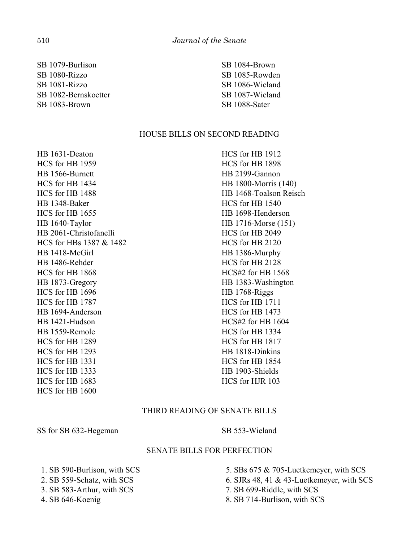SB 1079-Burlison SB 1080-Rizzo SB 1081-Rizzo SB 1082-Bernskoetter SB 1083-Brown

SB 1084-Brown SB 1085-Rowden SB 1086-Wieland SB 1087-Wieland SB 1088-Sater

## HOUSE BILLS ON SECOND READING

HB 1631-Deaton HCS for HB 1959 HB 1566-Burnett HCS for HB 1434 HCS for HB 1488 HB 1348-Baker HCS for HB 1655 HB 1640-Taylor HB 2061-Christofanelli HCS for HBs 1387 & 1482 HB 1418-McGirl HB 1486-Rehder HCS for HB 1868 HB 1873-Gregory HCS for HB 1696 HCS for HB 1787 HB 1694-Anderson HB 1421-Hudson HB 1559-Remole HCS for HB 1289 HCS for HB 1293 HCS for HB 1331 HCS for HB 1333 HCS for HB 1683 HCS for HB 1600

HCS for HB 1912 HCS for HB 1898 HB 2199-Gannon HB 1800-Morris (140) HB 1468-Toalson Reisch HCS for HB 1540 HB 1698-Henderson HB 1716-Morse (151) HCS for HB 2049 HCS for HB 2120 HB 1386-Murphy HCS for HB 2128 HCS#2 for HB 1568 HB 1383-Washington HB 1768-Riggs HCS for HB 1711 HCS for HB 1473 HCS#2 for HB 1604 HCS for HB 1334 HCS for HB 1817 HB 1818-Dinkins HCS for HB 1854 HB 1903-Shields HCS for HJR 103

# THIRD READING OF SENATE BILLS

SS for SB 632-Hegeman SB 553-Wieland

### SENATE BILLS FOR PERFECTION

 1. SB 590-Burlison, with SCS 2. SB 559-Schatz, with SCS 3. SB 583-Arthur, with SCS 4. SB 646-Koenig

 5. SBs 675 & 705-Luetkemeyer, with SCS 6. SJRs 48, 41 & 43-Luetkemeyer, with SCS 7. SB 699-Riddle, with SCS 8. SB 714-Burlison, with SCS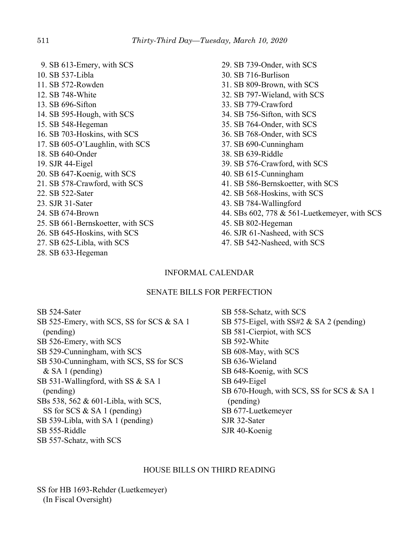9. SB 613-Emery, with SCS 10. SB 537-Libla 11. SB 572-Rowden 12. SB 748-White 13. SB 696-Sifton 14. SB 595-Hough, with SCS 15. SB 548-Hegeman 16. SB 703-Hoskins, with SCS 17. SB 605-O'Laughlin, with SCS 18. SB 640-Onder 19. SJR 44-Eigel 20. SB 647-Koenig, with SCS 21. SB 578-Crawford, with SCS 22. SB 522-Sater 23. SJR 31-Sater 24. SB 674-Brown 25. SB 661-Bernskoetter, with SCS 26. SB 645-Hoskins, with SCS 27. SB 625-Libla, with SCS 28. SB 633-Hegeman

29. SB 739-Onder, with SCS 30. SB 716-Burlison 31. SB 809-Brown, with SCS 32. SB 797-Wieland, with SCS 33. SB 779-Crawford 34. SB 756-Sifton, with SCS 35. SB 764-Onder, with SCS 36. SB 768-Onder, with SCS 37. SB 690-Cunningham 38. SB 639-Riddle 39. SB 576-Crawford, with SCS 40. SB 615-Cunningham 41. SB 586-Bernskoetter, with SCS 42. SB 568-Hoskins, with SCS 43. SB 784-Wallingford 44. SBs 602, 778 & 561-Luetkemeyer, with SCS 45. SB 802-Hegeman 46. SJR 61-Nasheed, with SCS 47. SB 542-Nasheed, with SCS

# INFORMAL CALENDAR

# SENATE BILLS FOR PERFECTION

SB 524-Sater SB 525-Emery, with SCS, SS for SCS & SA 1 (pending) SB 526-Emery, with SCS SB 529-Cunningham, with SCS SB 530-Cunningham, with SCS, SS for SCS & SA 1 (pending) SB 531-Wallingford, with SS & SA 1 (pending) SBs 538, 562 & 601-Libla, with SCS, SS for SCS & SA 1 (pending) SB 539-Libla, with SA 1 (pending) SB 555-Riddle SB 557-Schatz, with SCS

SB 558-Schatz, with SCS SB 575-Eigel, with SS#2 & SA 2 (pending) SB 581-Cierpiot, with SCS SB 592-White SB 608-May, with SCS SB 636-Wieland SB 648-Koenig, with SCS SB 649-Eigel SB 670-Hough, with SCS, SS for SCS & SA 1 (pending) SB 677-Luetkemeyer SJR 32-Sater SJR 40-Koenig

### HOUSE BILLS ON THIRD READING

SS for HB 1693-Rehder (Luetkemeyer) (In Fiscal Oversight)